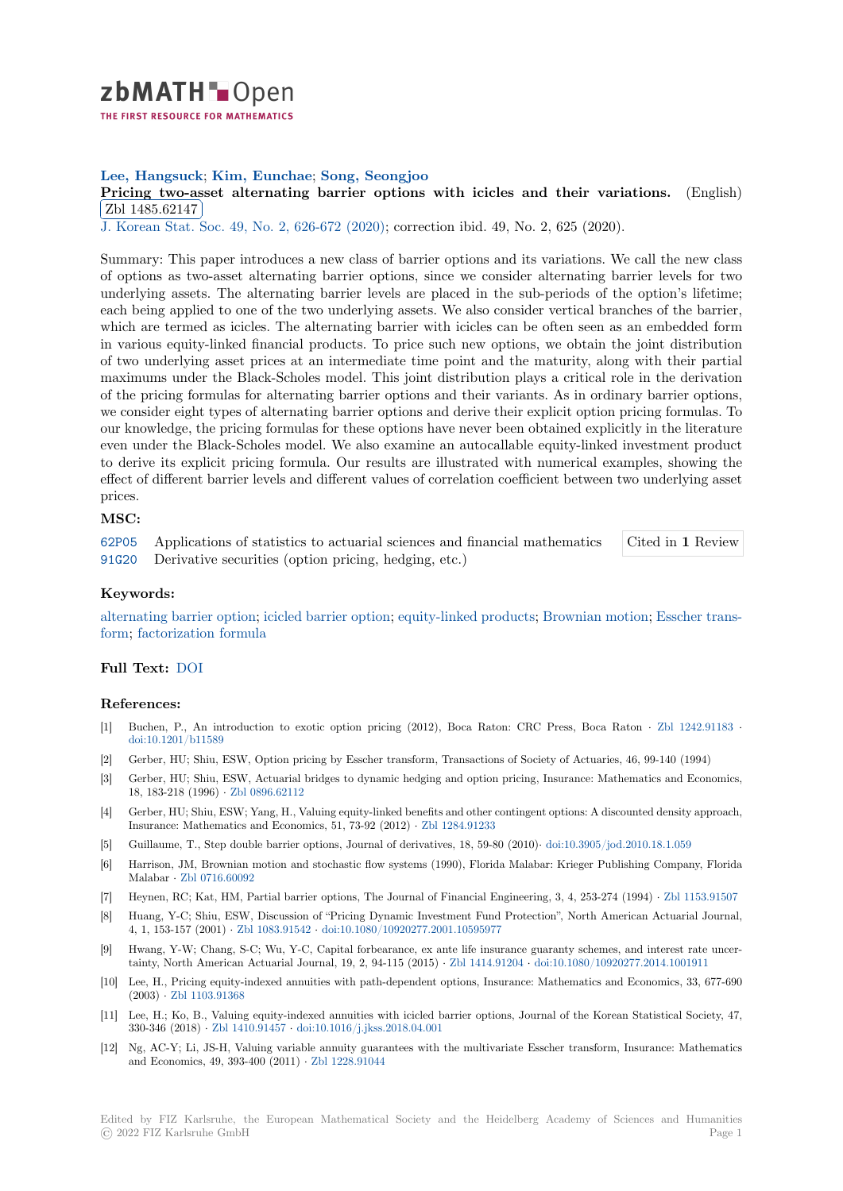# zbMATH-Open

THE FIRST RESOURCE FOR MATHEMATICS

# **Lee, Hangsuck**; **Kim, Eunchae**; **Song, Seongjoo**

**[P](https://zbmath.org/)ricing two-asset alternating barrier options with icicles and their variations.** (English) Zbl 1485.62147

✂ ✁ J. Korean Stat. Soc. 49, No. 2, 626-672 (2020); correction ibid. 49, No. 2, 625 (2020).

[Summary: This paper introduces a new class of barrier options and its variations. We call th](https://zbmath.org/1485.62147)e new class [of options as two](https://zbmath.org/1485.62147)-asset alternating barrier options, since we consider alternating barrier levels for two [underlying assets. T](https://zbmath.org/journals/?q=se:3666)[he alternating barrier leve](https://zbmath.org/?q=in:481070)ls are placed in the sub-periods of the option's lifetime; each being applied to one of the two underlying assets. We also consider vertical branches of the barrier, which are termed as icicles. The alternating barrier with icicles can be often seen as an embedded form in various equity-linked financial products. To price such new options, we obtain the joint distribution of two underlying asset prices at an intermediate time point and the maturity, along with their partial maximums under the Black-Scholes model. This joint distribution plays a critical role in the derivation of the pricing formulas for alternating barrier options and their variants. As in ordinary barrier options, we consider eight types of alternating barrier options and derive their explicit option pricing formulas. To our knowledge, the pricing formulas for these options have never been obtained explicitly in the literature even under the Black-Scholes model. We also examine an autocallable equity-linked investment product to derive its explicit pricing formula. Our results are illustrated with numerical examples, showing the effect of different barrier levels and different values of correlation coefficient between two underlying asset prices.

### **MSC:**

62P05 Applications of statistics to actuarial sciences and financial mathematics 91G20 Derivative securities (option pricing, hedging, etc.) Cited in **1** Review

#### **Keywords:**

[alterna](https://zbmath.org/classification/?q=cc:62P05)ting barrier option; icicled barrier option; equity-linked products; Brownian motion; [Esscher trans](https://zbmath.org/?q=ci:1485.62147|7514850)[form;](https://zbmath.org/classification/?q=cc:91G20) factorization formula

## **Full Text:** DOI

#### **[Refe](https://zbmath.org/?q=ut:Esscher+transform)[rences:](https://zbmath.org/?q=ut:factorization+formula)**

- [1] Buchen, P., An introduction to exotic option pricing (2012), Boca Raton: CRC Press, Boca Raton *·* Zbl 1242.91183 *·* doi:10.12[01/b11](https://dx.doi.org/10.1007/s42952-019-00039-3)589
- [2] Gerber, HU; Shiu, ESW, Option pricing by Esscher transform, Transactions of Society of Actuaries, 46, 99-140 (1994)
- [3] Gerber, HU; Shiu, ESW, Actuarial bridges to dynamic hedging and option pricing, Insurance: Mathematics and Economics, 18, 183-218 (1996) *·* Zbl 0896.62112
- [4] [Gerber, HU; Shiu, E](https://dx.doi.org/10.1201/b11589)SW; Yang, H., Valuing equity-linked benefits and other contingent options: A discounted density approach, Insurance: Mathematics and Economics, 51, 73-92 (2012) *·* Zbl 1284.91233
- [5] Guillaume, T., Step double barrier options, Journal of derivatives, 18, 59-80 (2010)*·* doi:10.3905/jod.2010.18.1.059
- [6] Harrison, JM, Brow[nian motion and](https://zbmath.org/0896.62112) stochastic flow systems (1990), Florida Malabar: Krieger Publishing Company, Florida Malabar *·* Zbl 0716.60092
- [7] Heynen, RC; Kat, HM, Partial barrier options, The Journa[l of Financial E](https://zbmath.org/1284.91233)ngineering, 3, 4, 253-274 (1994) *·* Zbl 1153.91507
- [8] Huang, Y-C; Shiu, ESW, Discussion of "Pricing Dynamic Investment Fund Protecti[on", North American Actuaria](https://dx.doi.org/10.3905/jod.2010.18.1.059)l Journal, 4, 1, 153-157 (2001) *·* Zbl 1083.91542 *·* doi:10.1080/10920277.2001.10595977
- [9] Hwang, Y[-W; Chang, S-C](https://zbmath.org/0716.60092); Wu, Y-C, Capital forbearance, ex ante life insurance guaranty schemes, and interest rate uncertainty, North American Actuarial Journal, 19, 2, 94-115 (2015) *·* Zbl 1414.91204 *·* doi:10.1080/10920277.201[4.1001911](https://zbmath.org/1153.91507)
- [10] Lee, H., Pricing equity-indexed annuities with path-dependent options, Insurance: Mathematics and Economics, 33, 677-690 (2003) *·* Zbl 1103.913[68](https://zbmath.org/1083.91542)
- [11] Lee, H.; Ko, B., Valuing equity-indexed annuities with icicled barrier options, Journal of the Korean Statistical Society, 47, 330-346 (2018) *·* Zbl 1410.91457 *·* doi:10.1016/j.jkss.2018.04.001
- [12] Ng, AC-Y; Li, JS-H, Valuing variable annuity guarantees with the multivariate Esscher transform, Insurance: Mathematics and Eco[nomics, 49, 393-](https://zbmath.org/1103.91368)400 (2011) *·* Zbl 1228.91044